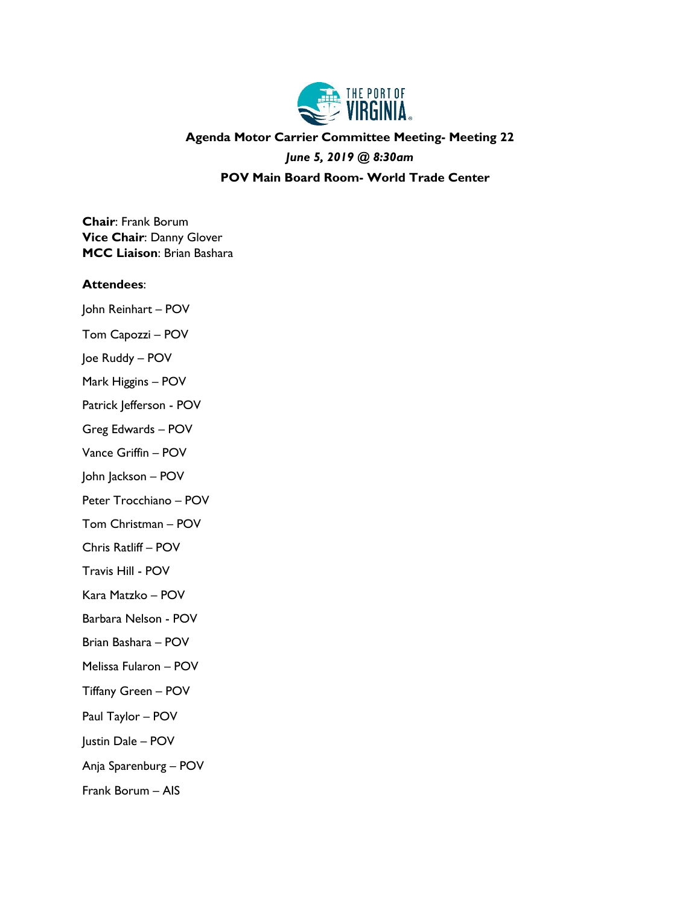

## **Agenda Motor Carrier Committee Meeting- Meeting 22**

*June 5, 2019 @ 8:30am*

**POV Main Board Room- World Trade Center**

**Chair**: Frank Borum **Vice Chair**: Danny Glover **MCC Liaison**: Brian Bashara

#### **Attendees**:

- John Reinhart POV Tom Capozzi – POV
- Joe Ruddy POV
- Mark Higgins POV
- Patrick Jefferson POV
- Greg Edwards POV
- Vance Griffin POV
- John Jackson POV
- Peter Trocchiano POV
- Tom Christman POV
- Chris Ratliff POV
- Travis Hill POV
- Kara Matzko POV
- Barbara Nelson POV
- Brian Bashara POV
- Melissa Fularon POV
- Tiffany Green POV
- Paul Taylor POV
- Justin Dale POV
- Anja Sparenburg POV
- Frank Borum AIS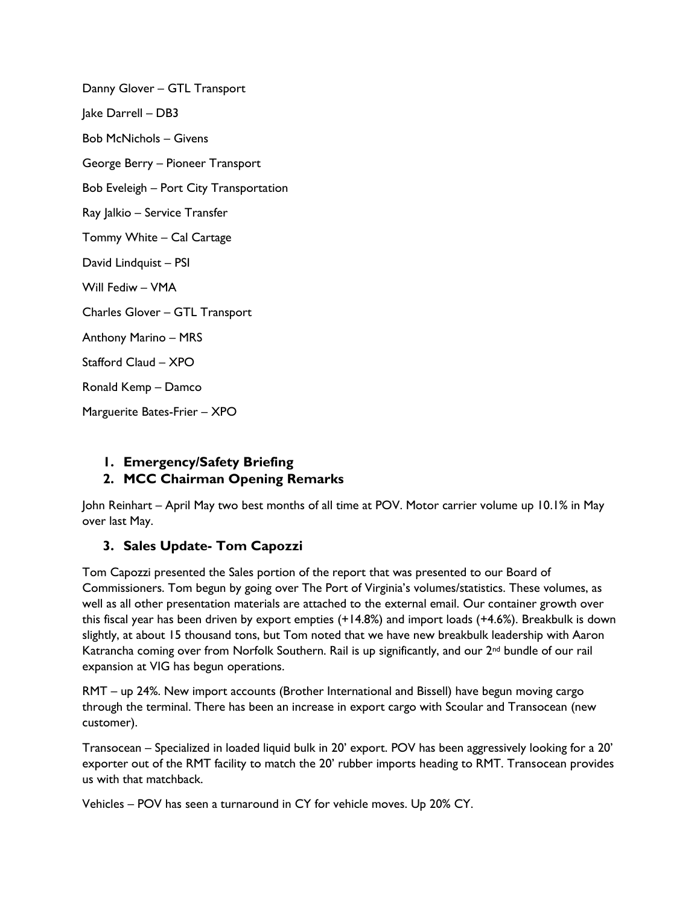Danny Glover – GTL Transport Jake Darrell – DB3 Bob McNichols – Givens George Berry – Pioneer Transport Bob Eveleigh – Port City Transportation Ray Jalkio – Service Transfer Tommy White – Cal Cartage David Lindquist – PSI Will Fediw – VMA Charles Glover – GTL Transport Anthony Marino – MRS Stafford Claud – XPO Ronald Kemp – Damco Marguerite Bates-Frier – XPO

# **1. Emergency/Safety Briefing**

## **2. MCC Chairman Opening Remarks**

John Reinhart – April May two best months of all time at POV. Motor carrier volume up 10.1% in May over last May.

## **3. Sales Update- Tom Capozzi**

Tom Capozzi presented the Sales portion of the report that was presented to our Board of Commissioners. Tom begun by going over The Port of Virginia's volumes/statistics. These volumes, as well as all other presentation materials are attached to the external email. Our container growth over this fiscal year has been driven by export empties (+14.8%) and import loads (+4.6%). Breakbulk is down slightly, at about 15 thousand tons, but Tom noted that we have new breakbulk leadership with Aaron Katrancha coming over from Norfolk Southern. Rail is up significantly, and our 2nd bundle of our rail expansion at VIG has begun operations.

RMT – up 24%. New import accounts (Brother International and Bissell) have begun moving cargo through the terminal. There has been an increase in export cargo with Scoular and Transocean (new customer).

Transocean – Specialized in loaded liquid bulk in 20' export. POV has been aggressively looking for a 20' exporter out of the RMT facility to match the 20' rubber imports heading to RMT. Transocean provides us with that matchback.

Vehicles – POV has seen a turnaround in CY for vehicle moves. Up 20% CY.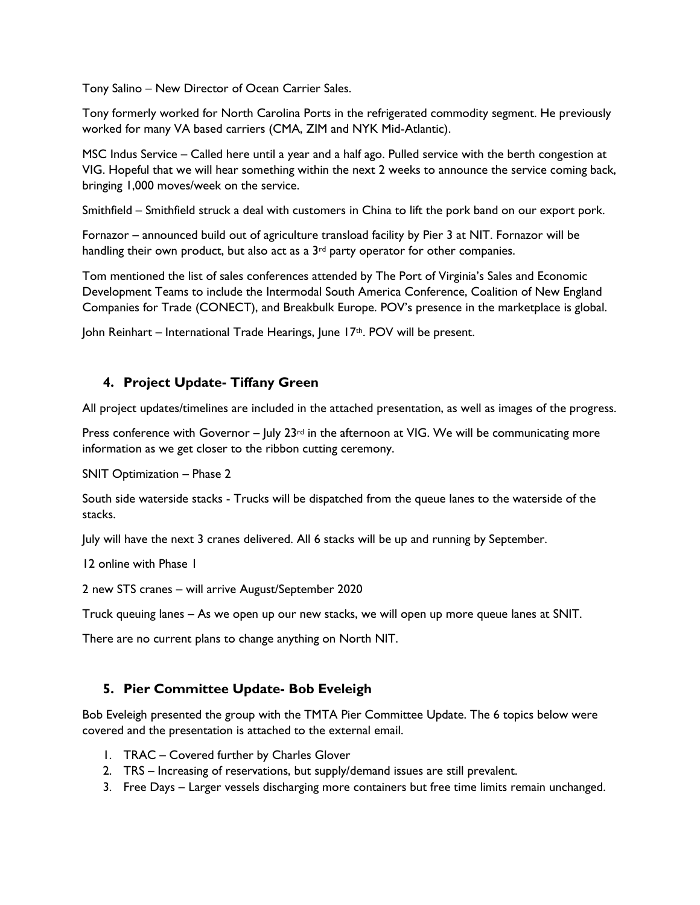Tony Salino – New Director of Ocean Carrier Sales.

Tony formerly worked for North Carolina Ports in the refrigerated commodity segment. He previously worked for many VA based carriers (CMA, ZIM and NYK Mid-Atlantic).

MSC Indus Service – Called here until a year and a half ago. Pulled service with the berth congestion at VIG. Hopeful that we will hear something within the next 2 weeks to announce the service coming back, bringing 1,000 moves/week on the service.

Smithfield – Smithfield struck a deal with customers in China to lift the pork band on our export pork.

Fornazor – announced build out of agriculture transload facility by Pier 3 at NIT. Fornazor will be handling their own product, but also act as a 3<sup>rd</sup> party operator for other companies.

Tom mentioned the list of sales conferences attended by The Port of Virginia's Sales and Economic Development Teams to include the Intermodal South America Conference, Coalition of New England Companies for Trade (CONECT), and Breakbulk Europe. POV's presence in the marketplace is global.

John Reinhart – International Trade Hearings, June 17<sup>th</sup>. POV will be present.

## **4. Project Update- Tiffany Green**

All project updates/timelines are included in the attached presentation, as well as images of the progress.

Press conference with Governor –  $|$ uly  $23$ <sup>rd</sup> in the afternoon at VIG. We will be communicating more information as we get closer to the ribbon cutting ceremony.

SNIT Optimization – Phase 2

South side waterside stacks - Trucks will be dispatched from the queue lanes to the waterside of the stacks.

July will have the next 3 cranes delivered. All 6 stacks will be up and running by September.

12 online with Phase 1

2 new STS cranes – will arrive August/September 2020

Truck queuing lanes – As we open up our new stacks, we will open up more queue lanes at SNIT.

There are no current plans to change anything on North NIT.

## **5. Pier Committee Update- Bob Eveleigh**

Bob Eveleigh presented the group with the TMTA Pier Committee Update. The 6 topics below were covered and the presentation is attached to the external email.

- 1. TRAC Covered further by Charles Glover
- 2. TRS Increasing of reservations, but supply/demand issues are still prevalent.
- 3. Free Days Larger vessels discharging more containers but free time limits remain unchanged.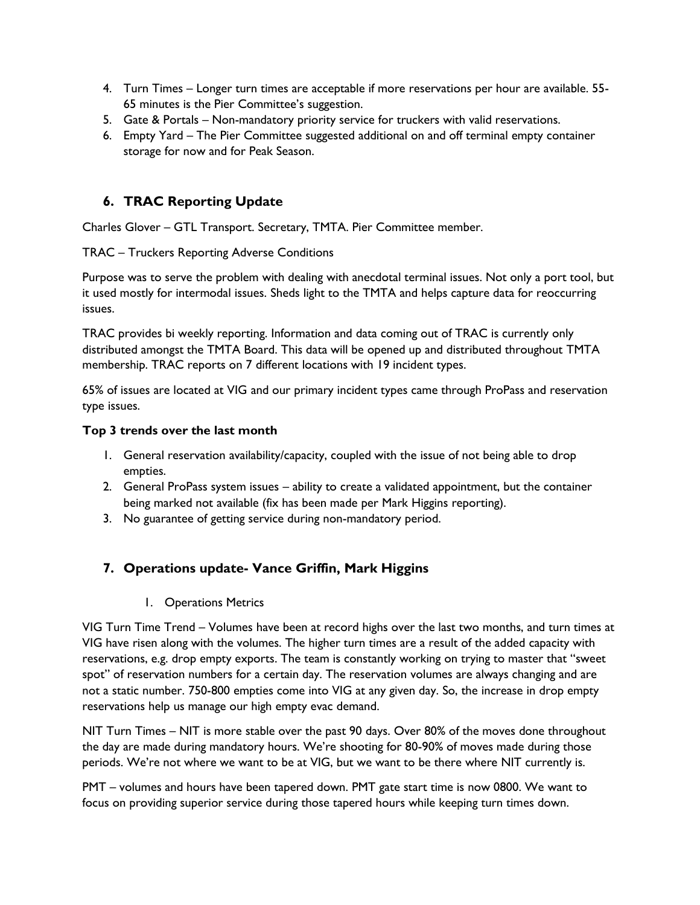- 4. Turn Times Longer turn times are acceptable if more reservations per hour are available. 55- 65 minutes is the Pier Committee's suggestion.
- 5. Gate & Portals Non-mandatory priority service for truckers with valid reservations.
- 6. Empty Yard The Pier Committee suggested additional on and off terminal empty container storage for now and for Peak Season.

## **6. TRAC Reporting Update**

Charles Glover – GTL Transport. Secretary, TMTA. Pier Committee member.

TRAC – Truckers Reporting Adverse Conditions

Purpose was to serve the problem with dealing with anecdotal terminal issues. Not only a port tool, but it used mostly for intermodal issues. Sheds light to the TMTA and helps capture data for reoccurring issues.

TRAC provides bi weekly reporting. Information and data coming out of TRAC is currently only distributed amongst the TMTA Board. This data will be opened up and distributed throughout TMTA membership. TRAC reports on 7 different locations with 19 incident types.

65% of issues are located at VIG and our primary incident types came through ProPass and reservation type issues.

#### **Top 3 trends over the last month**

- 1. General reservation availability/capacity, coupled with the issue of not being able to drop empties.
- 2. General ProPass system issues ability to create a validated appointment, but the container being marked not available (fix has been made per Mark Higgins reporting).
- 3. No guarantee of getting service during non-mandatory period.

## **7. Operations update- Vance Griffin, Mark Higgins**

1. Operations Metrics

VIG Turn Time Trend – Volumes have been at record highs over the last two months, and turn times at VIG have risen along with the volumes. The higher turn times are a result of the added capacity with reservations, e.g. drop empty exports. The team is constantly working on trying to master that "sweet spot" of reservation numbers for a certain day. The reservation volumes are always changing and are not a static number. 750-800 empties come into VIG at any given day. So, the increase in drop empty reservations help us manage our high empty evac demand.

NIT Turn Times – NIT is more stable over the past 90 days. Over 80% of the moves done throughout the day are made during mandatory hours. We're shooting for 80-90% of moves made during those periods. We're not where we want to be at VIG, but we want to be there where NIT currently is.

PMT – volumes and hours have been tapered down. PMT gate start time is now 0800. We want to focus on providing superior service during those tapered hours while keeping turn times down.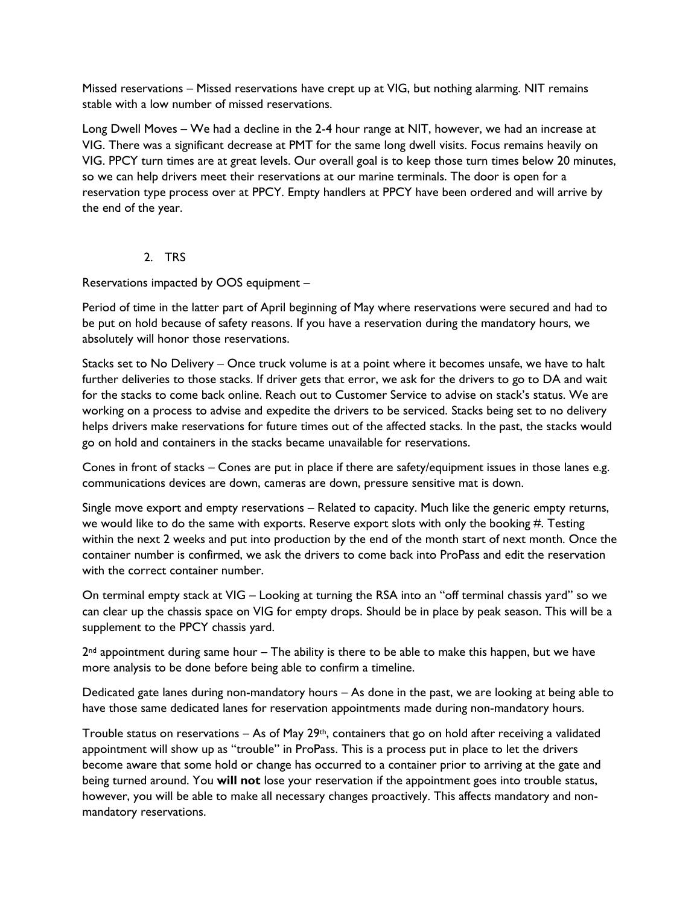Missed reservations – Missed reservations have crept up at VIG, but nothing alarming. NIT remains stable with a low number of missed reservations.

Long Dwell Moves – We had a decline in the 2-4 hour range at NIT, however, we had an increase at VIG. There was a significant decrease at PMT for the same long dwell visits. Focus remains heavily on VIG. PPCY turn times are at great levels. Our overall goal is to keep those turn times below 20 minutes, so we can help drivers meet their reservations at our marine terminals. The door is open for a reservation type process over at PPCY. Empty handlers at PPCY have been ordered and will arrive by the end of the year.

#### 2. TRS

Reservations impacted by OOS equipment –

Period of time in the latter part of April beginning of May where reservations were secured and had to be put on hold because of safety reasons. If you have a reservation during the mandatory hours, we absolutely will honor those reservations.

Stacks set to No Delivery – Once truck volume is at a point where it becomes unsafe, we have to halt further deliveries to those stacks. If driver gets that error, we ask for the drivers to go to DA and wait for the stacks to come back online. Reach out to Customer Service to advise on stack's status. We are working on a process to advise and expedite the drivers to be serviced. Stacks being set to no delivery helps drivers make reservations for future times out of the affected stacks. In the past, the stacks would go on hold and containers in the stacks became unavailable for reservations.

Cones in front of stacks – Cones are put in place if there are safety/equipment issues in those lanes e.g. communications devices are down, cameras are down, pressure sensitive mat is down.

Single move export and empty reservations – Related to capacity. Much like the generic empty returns, we would like to do the same with exports. Reserve export slots with only the booking #. Testing within the next 2 weeks and put into production by the end of the month start of next month. Once the container number is confirmed, we ask the drivers to come back into ProPass and edit the reservation with the correct container number.

On terminal empty stack at VIG – Looking at turning the RSA into an "off terminal chassis yard" so we can clear up the chassis space on VIG for empty drops. Should be in place by peak season. This will be a supplement to the PPCY chassis yard.

 $2<sup>nd</sup>$  appointment during same hour – The ability is there to be able to make this happen, but we have more analysis to be done before being able to confirm a timeline.

Dedicated gate lanes during non-mandatory hours – As done in the past, we are looking at being able to have those same dedicated lanes for reservation appointments made during non-mandatory hours.

Trouble status on reservations  $-$  As of May 29<sup>th</sup>, containers that go on hold after receiving a validated appointment will show up as "trouble" in ProPass. This is a process put in place to let the drivers become aware that some hold or change has occurred to a container prior to arriving at the gate and being turned around. You **will not** lose your reservation if the appointment goes into trouble status, however, you will be able to make all necessary changes proactively. This affects mandatory and nonmandatory reservations.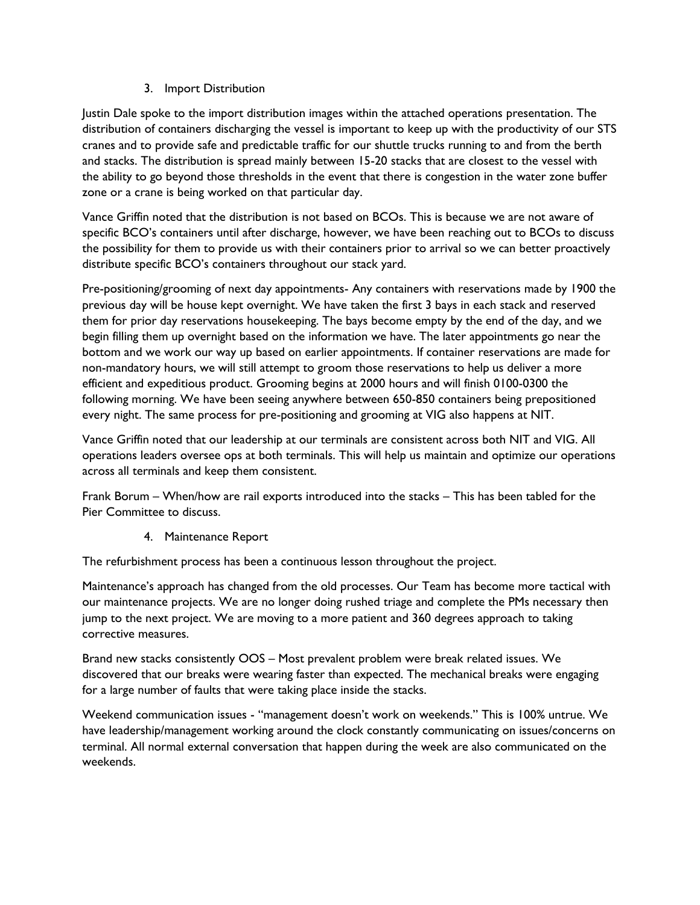#### 3. Import Distribution

Justin Dale spoke to the import distribution images within the attached operations presentation. The distribution of containers discharging the vessel is important to keep up with the productivity of our STS cranes and to provide safe and predictable traffic for our shuttle trucks running to and from the berth and stacks. The distribution is spread mainly between 15-20 stacks that are closest to the vessel with the ability to go beyond those thresholds in the event that there is congestion in the water zone buffer zone or a crane is being worked on that particular day.

Vance Griffin noted that the distribution is not based on BCOs. This is because we are not aware of specific BCO's containers until after discharge, however, we have been reaching out to BCOs to discuss the possibility for them to provide us with their containers prior to arrival so we can better proactively distribute specific BCO's containers throughout our stack yard.

Pre-positioning/grooming of next day appointments- Any containers with reservations made by 1900 the previous day will be house kept overnight. We have taken the first 3 bays in each stack and reserved them for prior day reservations housekeeping. The bays become empty by the end of the day, and we begin filling them up overnight based on the information we have. The later appointments go near the bottom and we work our way up based on earlier appointments. If container reservations are made for non-mandatory hours, we will still attempt to groom those reservations to help us deliver a more efficient and expeditious product. Grooming begins at 2000 hours and will finish 0100-0300 the following morning. We have been seeing anywhere between 650-850 containers being prepositioned every night. The same process for pre-positioning and grooming at VIG also happens at NIT.

Vance Griffin noted that our leadership at our terminals are consistent across both NIT and VIG. All operations leaders oversee ops at both terminals. This will help us maintain and optimize our operations across all terminals and keep them consistent.

Frank Borum – When/how are rail exports introduced into the stacks – This has been tabled for the Pier Committee to discuss.

4. Maintenance Report

The refurbishment process has been a continuous lesson throughout the project.

Maintenance's approach has changed from the old processes. Our Team has become more tactical with our maintenance projects. We are no longer doing rushed triage and complete the PMs necessary then jump to the next project. We are moving to a more patient and 360 degrees approach to taking corrective measures.

Brand new stacks consistently OOS – Most prevalent problem were break related issues. We discovered that our breaks were wearing faster than expected. The mechanical breaks were engaging for a large number of faults that were taking place inside the stacks.

Weekend communication issues - "management doesn't work on weekends." This is 100% untrue. We have leadership/management working around the clock constantly communicating on issues/concerns on terminal. All normal external conversation that happen during the week are also communicated on the weekends.